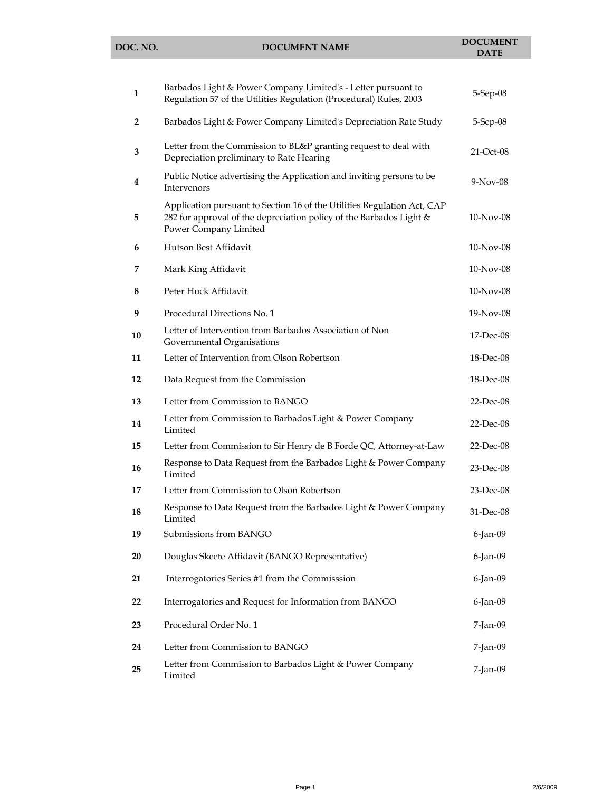## **DOC. NO. DOCUMENT NAME DOCUMENT DOCUMENT**

| 1  | Barbados Light & Power Company Limited's - Letter pursuant to<br>Regulation 57 of the Utilities Regulation (Procedural) Rules, 2003                                     | 5-Sep-08     |
|----|-------------------------------------------------------------------------------------------------------------------------------------------------------------------------|--------------|
| 2  | Barbados Light & Power Company Limited's Depreciation Rate Study                                                                                                        | 5-Sep-08     |
| 3  | Letter from the Commission to BL&P granting request to deal with<br>Depreciation preliminary to Rate Hearing                                                            | 21-Oct-08    |
| 4  | Public Notice advertising the Application and inviting persons to be<br>Intervenors                                                                                     | $9-Nov-08$   |
| 5  | Application pursuant to Section 16 of the Utilities Regulation Act, CAP<br>282 for approval of the depreciation policy of the Barbados Light &<br>Power Company Limited | 10-Nov-08    |
| 6  | Hutson Best Affidavit                                                                                                                                                   | 10-Nov-08    |
| 7  | Mark King Affidavit                                                                                                                                                     | 10-Nov-08    |
| 8  | Peter Huck Affidavit                                                                                                                                                    | 10-Nov-08    |
| 9  | Procedural Directions No. 1                                                                                                                                             | 19-Nov-08    |
| 10 | Letter of Intervention from Barbados Association of Non<br>Governmental Organisations                                                                                   | 17-Dec-08    |
| 11 | Letter of Intervention from Olson Robertson                                                                                                                             | 18-Dec-08    |
| 12 | Data Request from the Commission                                                                                                                                        | 18-Dec-08    |
| 13 | Letter from Commission to BANGO                                                                                                                                         | $22$ -Dec-08 |
| 14 | Letter from Commission to Barbados Light & Power Company<br>Limited                                                                                                     | 22-Dec-08    |
| 15 | Letter from Commission to Sir Henry de B Forde QC, Attorney-at-Law                                                                                                      | 22-Dec-08    |
| 16 | Response to Data Request from the Barbados Light & Power Company<br>Limited                                                                                             | 23-Dec-08    |
| 17 | Letter from Commission to Olson Robertson                                                                                                                               | 23-Dec-08    |
| 18 | Response to Data Request from the Barbados Light & Power Company<br>Limited                                                                                             | 31-Dec-08    |
| 19 | Submissions from BANGO                                                                                                                                                  | 6-Jan-09     |
| 20 | Douglas Skeete Affidavit (BANGO Representative)                                                                                                                         | 6-Jan-09     |
| 21 | Interrogatories Series #1 from the Commisssion                                                                                                                          | 6-Jan-09     |
| 22 | Interrogatories and Request for Information from BANGO                                                                                                                  | 6-Jan-09     |
| 23 | Procedural Order No. 1                                                                                                                                                  | 7-Jan-09     |
| 24 | Letter from Commission to BANGO                                                                                                                                         | 7-Jan-09     |
| 25 | Letter from Commission to Barbados Light & Power Company<br>Limited                                                                                                     | 7-Jan-09     |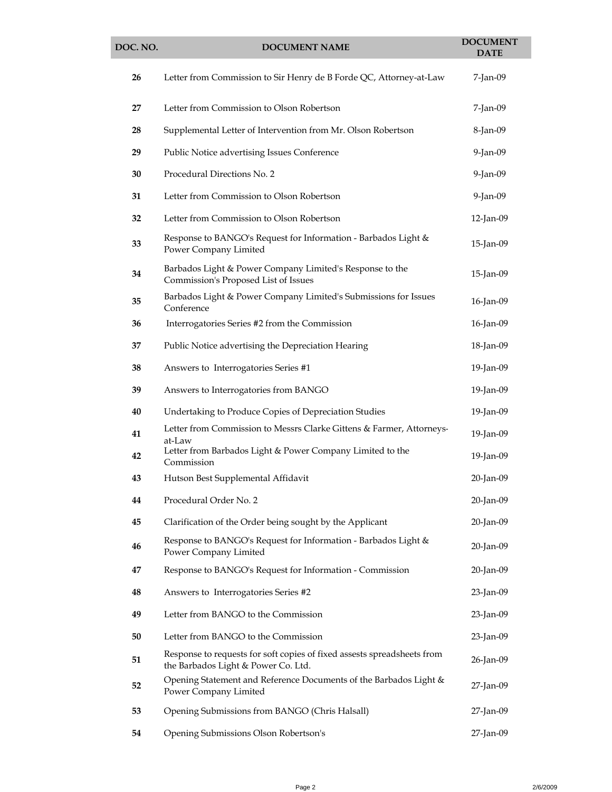| DOC. NO. | <b>DOCUMENT NAME</b>                                                                                           | <b>DOCUMENT</b><br><b>DATE</b> |
|----------|----------------------------------------------------------------------------------------------------------------|--------------------------------|
| 26       | Letter from Commission to Sir Henry de B Forde QC, Attorney-at-Law                                             | 7-Jan-09                       |
| 27       | Letter from Commission to Olson Robertson                                                                      | 7-Jan-09                       |
| 28       | Supplemental Letter of Intervention from Mr. Olson Robertson                                                   | 8-Jan-09                       |
| 29       | Public Notice advertising Issues Conference                                                                    | 9-Jan-09                       |
| 30       | Procedural Directions No. 2                                                                                    | 9-Jan-09                       |
| 31       | Letter from Commission to Olson Robertson                                                                      | 9-Jan-09                       |
| 32       | Letter from Commission to Olson Robertson                                                                      | 12-Jan-09                      |
| 33       | Response to BANGO's Request for Information - Barbados Light &<br>Power Company Limited                        | 15-Jan-09                      |
| 34       | Barbados Light & Power Company Limited's Response to the<br>Commission's Proposed List of Issues               | 15-Jan-09                      |
| 35       | Barbados Light & Power Company Limited's Submissions for Issues<br>Conference                                  | 16-Jan-09                      |
| 36       | Interrogatories Series #2 from the Commission                                                                  | 16-Jan-09                      |
| 37       | Public Notice advertising the Depreciation Hearing                                                             | 18-Jan-09                      |
| 38       | Answers to Interrogatories Series #1                                                                           | 19-Jan-09                      |
| 39       | Answers to Interrogatories from BANGO                                                                          | 19-Jan-09                      |
| 40       | Undertaking to Produce Copies of Depreciation Studies                                                          | 19-Jan-09                      |
| 41       | Letter from Commission to Messrs Clarke Gittens & Farmer, Attorneys-<br>at-Law                                 | 19-Jan-09                      |
| 42       | Letter from Barbados Light & Power Company Limited to the<br>Commission                                        | 19-Jan-09                      |
| 43       | Hutson Best Supplemental Affidavit                                                                             | 20-Jan-09                      |
| 44       | Procedural Order No. 2                                                                                         | 20-Jan-09                      |
| 45       | Clarification of the Order being sought by the Applicant                                                       | 20-Jan-09                      |
| 46       | Response to BANGO's Request for Information - Barbados Light &<br>Power Company Limited                        | 20-Jan-09                      |
| 47       | Response to BANGO's Request for Information - Commission                                                       | 20-Jan-09                      |
| 48       | Answers to Interrogatories Series #2                                                                           | 23-Jan-09                      |
| 49       | Letter from BANGO to the Commission                                                                            | 23-Jan-09                      |
| 50       | Letter from BANGO to the Commission                                                                            | 23-Jan-09                      |
| 51       | Response to requests for soft copies of fixed assests spreadsheets from<br>the Barbados Light & Power Co. Ltd. | 26-Jan-09                      |
| 52       | Opening Statement and Reference Documents of the Barbados Light &<br>Power Company Limited                     | 27-Jan-09                      |
| 53       | Opening Submissions from BANGO (Chris Halsall)                                                                 | 27-Jan-09                      |

Opening Submissions Olson Robertson's 27-Jan-09